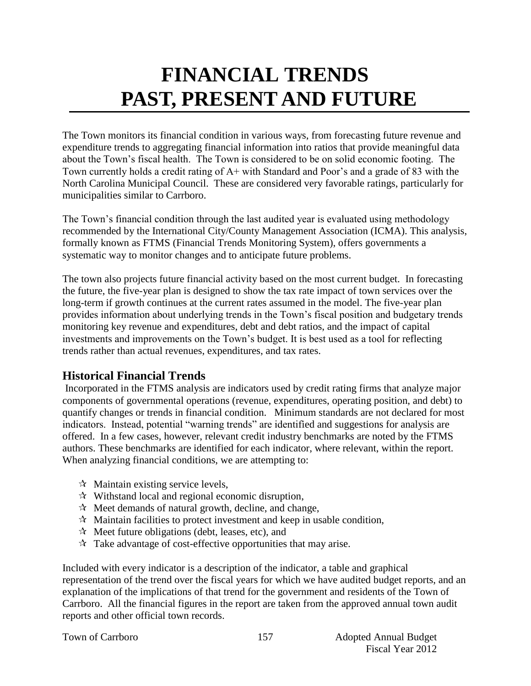# **FINANCIAL TRENDS PAST, PRESENT AND FUTURE**

The Town monitors its financial condition in various ways, from forecasting future revenue and expenditure trends to aggregating financial information into ratios that provide meaningful data about the Town's fiscal health. The Town is considered to be on solid economic footing. The Town currently holds a credit rating of A+ with Standard and Poor's and a grade of 83 with the North Carolina Municipal Council. These are considered very favorable ratings, particularly for municipalities similar to Carrboro.

The Town's financial condition through the last audited year is evaluated using methodology recommended by the International City/County Management Association (ICMA). This analysis, formally known as FTMS (Financial Trends Monitoring System), offers governments a systematic way to monitor changes and to anticipate future problems.

The town also projects future financial activity based on the most current budget. In forecasting the future, the five-year plan is designed to show the tax rate impact of town services over the long-term if growth continues at the current rates assumed in the model. The five-year plan provides information about underlying trends in the Town's fiscal position and budgetary trends monitoring key revenue and expenditures, debt and debt ratios, and the impact of capital investments and improvements on the Town's budget. It is best used as a tool for reflecting trends rather than actual revenues, expenditures, and tax rates.

## **Historical Financial Trends**

Incorporated in the FTMS analysis are indicators used by credit rating firms that analyze major components of governmental operations (revenue, expenditures, operating position, and debt) to quantify changes or trends in financial condition. Minimum standards are not declared for most indicators. Instead, potential "warning trends" are identified and suggestions for analysis are offered. In a few cases, however, relevant credit industry benchmarks are noted by the FTMS authors. These benchmarks are identified for each indicator, where relevant, within the report. When analyzing financial conditions, we are attempting to:

- $\forall$  Maintain existing service levels,
- $\mathcal{R}$  Withstand local and regional economic disruption,
- $\mathcal{A}$  Meet demands of natural growth, decline, and change,
- $\mathcal{R}$  Maintain facilities to protect investment and keep in usable condition,
- $\mathcal{A}$  Meet future obligations (debt, leases, etc), and
- $\mathcal{R}$  Take advantage of cost-effective opportunities that may arise.

Included with every indicator is a description of the indicator, a table and graphical representation of the trend over the fiscal years for which we have audited budget reports, and an explanation of the implications of that trend for the government and residents of the Town of Carrboro. All the financial figures in the report are taken from the approved annual town audit reports and other official town records.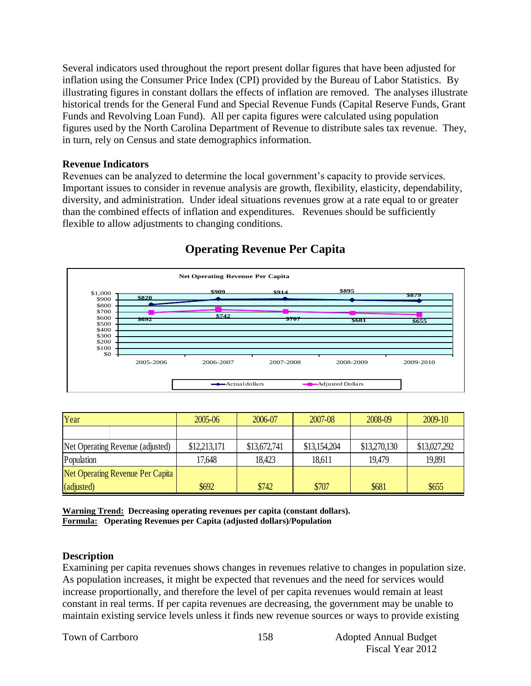Several indicators used throughout the report present dollar figures that have been adjusted for inflation using the Consumer Price Index (CPI) provided by the Bureau of Labor Statistics. By illustrating figures in constant dollars the effects of inflation are removed. The analyses illustrate historical trends for the General Fund and Special Revenue Funds (Capital Reserve Funds, Grant Funds and Revolving Loan Fund). All per capita figures were calculated using population figures used by the North Carolina Department of Revenue to distribute sales tax revenue. They, in turn, rely on Census and state demographics information.

#### **Revenue Indicators**

Revenues can be analyzed to determine the local government's capacity to provide services. Important issues to consider in revenue analysis are growth, flexibility, elasticity, dependability, diversity, and administration. Under ideal situations revenues grow at a rate equal to or greater than the combined effects of inflation and expenditures. Revenues should be sufficiently flexible to allow adjustments to changing conditions.



## **Operating Revenue Per Capita**

| Year                             |  | 2005-06      | 2006-07      | 2007-08      | 2008-09      | 2009-10      |
|----------------------------------|--|--------------|--------------|--------------|--------------|--------------|
|                                  |  |              |              |              |              |              |
| Net Operating Revenue (adjusted) |  | \$12,213,171 | \$13,672,741 | \$13,154,204 | \$13,270,130 | \$13,027,292 |
| Population                       |  | 17,648       | 18,423       | 18,611       | 19.479       | 19,891       |
| Net Operating Revenue Per Capita |  |              |              |              |              |              |
| (adjusted)                       |  | \$692        | \$742        | \$707        | \$681        | \$655        |

**Warning Trend: Decreasing operating revenues per capita (constant dollars). Formula: Operating Revenues per Capita (adjusted dollars)/Population**

#### **Description**

Examining per capita revenues shows changes in revenues relative to changes in population size. As population increases, it might be expected that revenues and the need for services would increase proportionally, and therefore the level of per capita revenues would remain at least constant in real terms. If per capita revenues are decreasing, the government may be unable to maintain existing service levels unless it finds new revenue sources or ways to provide existing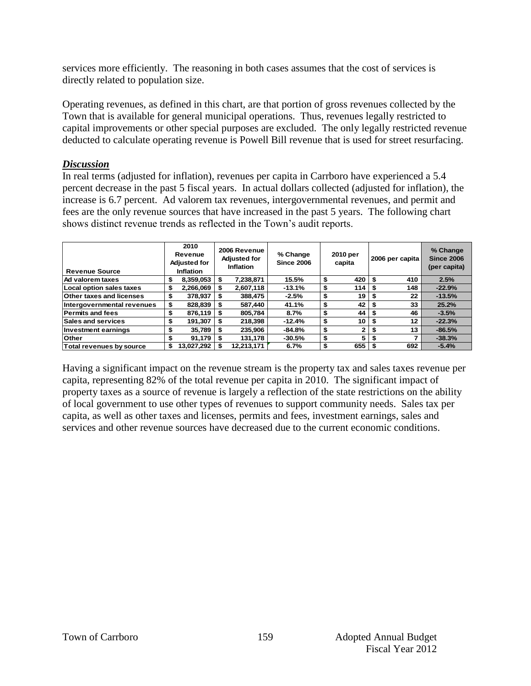services more efficiently. The reasoning in both cases assumes that the cost of services is directly related to population size.

Operating revenues, as defined in this chart, are that portion of gross revenues collected by the Town that is available for general municipal operations. Thus, revenues legally restricted to capital improvements or other special purposes are excluded. The only legally restricted revenue deducted to calculate operating revenue is Powell Bill revenue that is used for street resurfacing.

#### *Discussion*

In real terms (adjusted for inflation), revenues per capita in Carrboro have experienced a 5.4 percent decrease in the past 5 fiscal years. In actual dollars collected (adjusted for inflation), the increase is 6.7 percent. Ad valorem tax revenues, intergovernmental revenues, and permit and fees are the only revenue sources that have increased in the past 5 years. The following chart shows distinct revenue trends as reflected in the Town's audit reports.

| <b>Revenue Source</b>           |    | 2010<br>Revenue<br><b>Adjusted for</b><br><b>Inflation</b> |    | 2006 Revenue<br><b>Adjusted for</b><br><b>Inflation</b> | % Change<br><b>Since 2006</b> | 2010 per<br>capita |     | 2006 per capita |     | % Change<br><b>Since 2006</b><br>(per capita) |
|---------------------------------|----|------------------------------------------------------------|----|---------------------------------------------------------|-------------------------------|--------------------|-----|-----------------|-----|-----------------------------------------------|
| Ad valorem taxes                |    | 8,359,053                                                  | \$ | 7,238,871                                               | 15.5%                         | \$                 | 420 |                 | 410 | 2.5%                                          |
| Local option sales taxes        |    | 2,266,069                                                  | S  | 2,607,118                                               | $-13.1%$                      | \$                 | 114 | Ŝ.              | 148 | $-22.9%$                                      |
| <b>Other taxes and licenses</b> | S  | 378,937                                                    | S  | 388,475                                                 | $-2.5%$                       | \$                 | 19  |                 | 22  | $-13.5%$                                      |
| Intergovernmental revenues      | \$ | 828,839                                                    | S  | 587.440                                                 | 41.1%                         | \$                 | 42  |                 | 33  | 25.2%                                         |
| <b>Permits and fees</b>         |    | 876,119                                                    | \$ | 805,784                                                 | 8.7%                          | \$                 | 44  | S               | 46  | $-3.5%$                                       |
| <b>Sales and services</b>       |    | 191,307                                                    | S. | 218,398                                                 | $-12.4%$                      | \$                 | 10  |                 | 12  | $-22.3%$                                      |
| <b>Investment earnings</b>      | \$ | 35,789                                                     | \$ | 235.906                                                 | $-84.8%$                      | \$                 | 2   | \$              | 13  | $-86.5%$                                      |
| <b>Other</b>                    |    | 91,179                                                     |    | 131,178                                                 | $-30.5%$                      | \$                 | 5   | \$              | 7   | $-38.3%$                                      |
| <b>Total revenues by source</b> |    | 13.027.292                                                 |    | 12,213,171                                              | 6.7%                          | \$                 | 655 |                 | 692 | $-5.4%$                                       |

Having a significant impact on the revenue stream is the property tax and sales taxes revenue per capita, representing 82% of the total revenue per capita in 2010. The significant impact of property taxes as a source of revenue is largely a reflection of the state restrictions on the ability of local government to use other types of revenues to support community needs. Sales tax per capita, as well as other taxes and licenses, permits and fees, investment earnings, sales and services and other revenue sources have decreased due to the current economic conditions.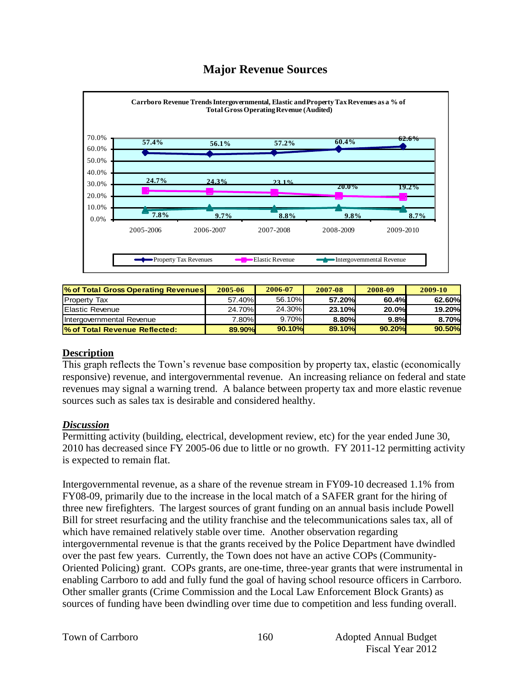## **Major Revenue Sources**



| % of Total Gross Operating Revenues | 2005-06 | 2006-07 | 2007-08 | 2008-09 | 2009-10 |
|-------------------------------------|---------|---------|---------|---------|---------|
| <b>Property Tax</b>                 | 57.40%  | 56.10%  | 57.20%  | 60.4%   | 62.60%  |
| <b>Elastic Revenue</b>              | 24.70%  | 24.30%  | 23.10%  | 20.0%   | 19.20%  |
| Intergovernmental Revenue           | 7.80%   | 9.70%   | 8.80%   | 9.8%    | 8.70%   |
| % of Total Revenue Reflected:       | 89.90%  | 90.10%  | 89.10%  | 90.20%  | 90.50%  |

#### **Description**

This graph reflects the Town's revenue base composition by property tax, elastic (economically responsive) revenue, and intergovernmental revenue. An increasing reliance on federal and state revenues may signal a warning trend. A balance between property tax and more elastic revenue sources such as sales tax is desirable and considered healthy.

#### *Discussion*

Permitting activity (building, electrical, development review, etc) for the year ended June 30, 2010 has decreased since FY 2005-06 due to little or no growth. FY 2011-12 permitting activity is expected to remain flat.

Intergovernmental revenue, as a share of the revenue stream in FY09-10 decreased 1.1% from FY08-09, primarily due to the increase in the local match of a SAFER grant for the hiring of three new firefighters. The largest sources of grant funding on an annual basis include Powell Bill for street resurfacing and the utility franchise and the telecommunications sales tax, all of which have remained relatively stable over time. Another observation regarding intergovernmental revenue is that the grants received by the Police Department have dwindled over the past few years. Currently, the Town does not have an active COPs (Community-Oriented Policing) grant. COPs grants, are one-time, three-year grants that were instrumental in enabling Carrboro to add and fully fund the goal of having school resource officers in Carrboro. Other smaller grants (Crime Commission and the Local Law Enforcement Block Grants) as sources of funding have been dwindling over time due to competition and less funding overall.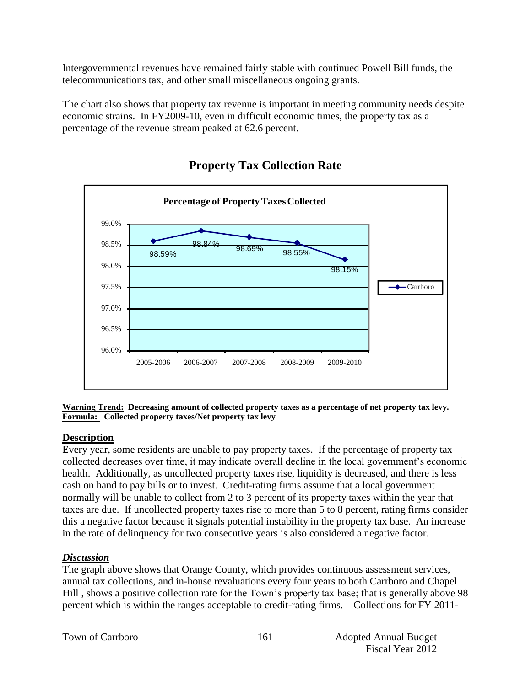Intergovernmental revenues have remained fairly stable with continued Powell Bill funds, the telecommunications tax, and other small miscellaneous ongoing grants.

The chart also shows that property tax revenue is important in meeting community needs despite economic strains. In FY2009-10, even in difficult economic times, the property tax as a percentage of the revenue stream peaked at 62.6 percent.



## **Property Tax Collection Rate**

**Warning Trend: Decreasing amount of collected property taxes as a percentage of net property tax levy. Formula: Collected property taxes/Net property tax levy**

#### **Description**

Every year, some residents are unable to pay property taxes. If the percentage of property tax collected decreases over time, it may indicate overall decline in the local government's economic health. Additionally, as uncollected property taxes rise, liquidity is decreased, and there is less cash on hand to pay bills or to invest. Credit-rating firms assume that a local government normally will be unable to collect from 2 to 3 percent of its property taxes within the year that taxes are due. If uncollected property taxes rise to more than 5 to 8 percent, rating firms consider this a negative factor because it signals potential instability in the property tax base. An increase in the rate of delinquency for two consecutive years is also considered a negative factor.

## *Discussion*

The graph above shows that Orange County, which provides continuous assessment services, annual tax collections, and in-house revaluations every four years to both Carrboro and Chapel Hill , shows a positive collection rate for the Town's property tax base; that is generally above 98 percent which is within the ranges acceptable to credit-rating firms. Collections for FY 2011-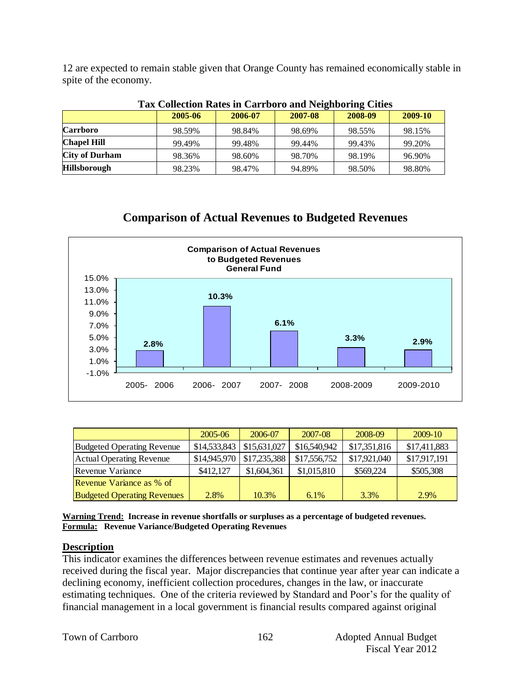12 are expected to remain stable given that Orange County has remained economically stable in spite of the economy.

| Tax Conection Rates in Carrooro and Neighboring Clues |         |         |         |         |         |  |  |  |  |  |
|-------------------------------------------------------|---------|---------|---------|---------|---------|--|--|--|--|--|
|                                                       | 2005-06 | 2006-07 | 2007-08 | 2008-09 | 2009-10 |  |  |  |  |  |
| <b>Carrboro</b>                                       | 98.59%  | 98.84%  | 98.69%  | 98.55%  | 98.15%  |  |  |  |  |  |
| <b>Chapel Hill</b>                                    | 99.49%  | 99.48%  | 99.44%  | 99.43%  | 99.20%  |  |  |  |  |  |
| <b>City of Durham</b>                                 | 98.36%  | 98.60%  | 98.70%  | 98.19%  | 96.90%  |  |  |  |  |  |
| <b>Hillsborough</b>                                   | 98.23%  | 98.47%  | 94.89%  | 98.50%  | 98.80%  |  |  |  |  |  |

#### **Tax Collection Rates in Carrboro and Neighboring Cities**

## **Comparison of Actual Revenues to Budgeted Revenues**



|                                    | $2005 - 06$  | 2006-07      | 2007-08      | 2008-09      | $2009-10$    |
|------------------------------------|--------------|--------------|--------------|--------------|--------------|
| <b>Budgeted Operating Revenue</b>  | \$14,533,843 | \$15,631,027 | \$16,540,942 | \$17,351,816 | \$17,411,883 |
| <b>Actual Operating Revenue</b>    | \$14,945,970 | \$17,235,388 | \$17,556,752 | \$17,921,040 | \$17,917,191 |
| Revenue Variance                   | \$412,127    | \$1,604,361  | \$1,015,810  | \$569,224    | \$505,308    |
| Revenue Variance as % of           |              |              |              |              |              |
| <b>Budgeted Operating Revenues</b> | 2.8%         | 10.3%        | $6.1\%$      | 3.3%         | 2.9%         |

**Warning Trend: Increase in revenue shortfalls or surpluses as a percentage of budgeted revenues. Formula: Revenue Variance/Budgeted Operating Revenues**

#### **Description**

This indicator examines the differences between revenue estimates and revenues actually received during the fiscal year. Major discrepancies that continue year after year can indicate a declining economy, inefficient collection procedures, changes in the law, or inaccurate estimating techniques. One of the criteria reviewed by Standard and Poor's for the quality of financial management in a local government is financial results compared against original

|  |  | Town of Carrboro |
|--|--|------------------|
|--|--|------------------|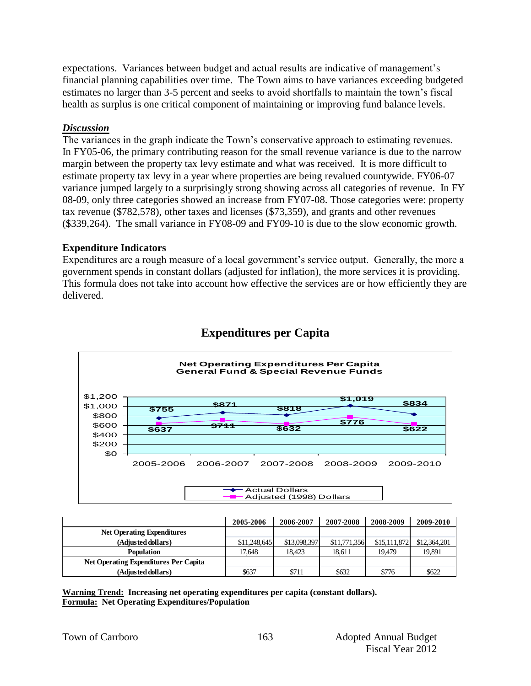expectations. Variances between budget and actual results are indicative of management's financial planning capabilities over time. The Town aims to have variances exceeding budgeted estimates no larger than 3-5 percent and seeks to avoid shortfalls to maintain the town's fiscal health as surplus is one critical component of maintaining or improving fund balance levels.

#### *Discussion*

The variances in the graph indicate the Town's conservative approach to estimating revenues. In FY05-06, the primary contributing reason for the small revenue variance is due to the narrow margin between the property tax levy estimate and what was received. It is more difficult to estimate property tax levy in a year where properties are being revalued countywide. FY06-07 variance jumped largely to a surprisingly strong showing across all categories of revenue. In FY 08-09, only three categories showed an increase from FY07-08. Those categories were: property tax revenue (\$782,578), other taxes and licenses (\$73,359), and grants and other revenues (\$339,264). The small variance in FY08-09 and FY09-10 is due to the slow economic growth.

#### **Expenditure Indicators**

Expenditures are a rough measure of a local government's service output. Generally, the more a government spends in constant dollars (adjusted for inflation), the more services it is providing. This formula does not take into account how effective the services are or how efficiently they are delivered.



## **Expenditures per Capita**

|                                       | 2005-2006    | 2006-2007    | 2007-2008    | 2008-2009    | 2009-2010    |
|---------------------------------------|--------------|--------------|--------------|--------------|--------------|
| <b>Net Operating Expenditures</b>     |              |              |              |              |              |
| (Adjusted dollars)                    | \$11,248,645 | \$13,098,397 | \$11,771,356 | \$15,111,872 | \$12,364,201 |
| <b>Population</b>                     | 17.648       | 18.423       | 18.611       | 19.479       | 19,891       |
| Net Operating Expenditures Per Capita |              |              |              |              |              |
| (Adjusted dollars)                    | \$637        | \$711        | \$632        | \$776        | \$622        |

**Warning Trend: Increasing net operating expenditures per capita (constant dollars). Formula: Net Operating Expenditures/Population**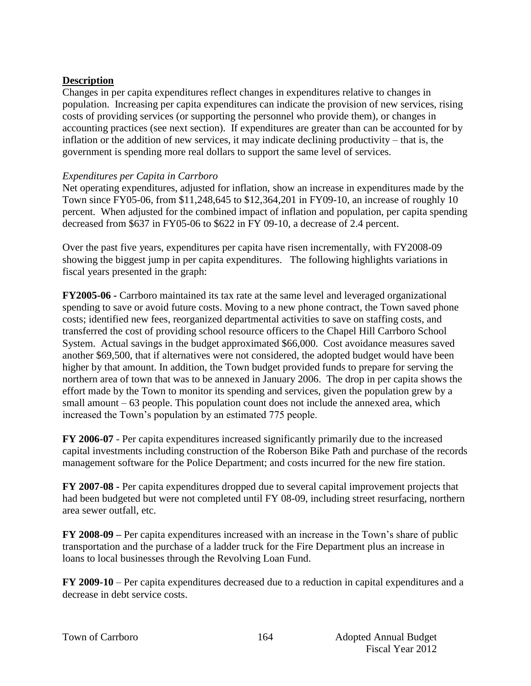#### **Description**

Changes in per capita expenditures reflect changes in expenditures relative to changes in population. Increasing per capita expenditures can indicate the provision of new services, rising costs of providing services (or supporting the personnel who provide them), or changes in accounting practices (see next section). If expenditures are greater than can be accounted for by inflation or the addition of new services, it may indicate declining productivity – that is, the government is spending more real dollars to support the same level of services.

#### *Expenditures per Capita in Carrboro*

Net operating expenditures, adjusted for inflation, show an increase in expenditures made by the Town since FY05-06, from \$11,248,645 to \$12,364,201 in FY09-10, an increase of roughly 10 percent. When adjusted for the combined impact of inflation and population, per capita spending decreased from \$637 in FY05-06 to \$622 in FY 09-10, a decrease of 2.4 percent.

Over the past five years, expenditures per capita have risen incrementally, with FY2008-09 showing the biggest jump in per capita expenditures. The following highlights variations in fiscal years presented in the graph:

**FY2005-06 -** Carrboro maintained its tax rate at the same level and leveraged organizational spending to save or avoid future costs. Moving to a new phone contract, the Town saved phone costs; identified new fees, reorganized departmental activities to save on staffing costs, and transferred the cost of providing school resource officers to the Chapel Hill Carrboro School System. Actual savings in the budget approximated \$66,000. Cost avoidance measures saved another \$69,500, that if alternatives were not considered, the adopted budget would have been higher by that amount. In addition, the Town budget provided funds to prepare for serving the northern area of town that was to be annexed in January 2006. The drop in per capita shows the effort made by the Town to monitor its spending and services, given the population grew by a small amount – 63 people. This population count does not include the annexed area, which increased the Town's population by an estimated 775 people.

**FY 2006-07** - Per capita expenditures increased significantly primarily due to the increased capital investments including construction of the Roberson Bike Path and purchase of the records management software for the Police Department; and costs incurred for the new fire station.

**FY 2007-08 -** Per capita expenditures dropped due to several capital improvement projects that had been budgeted but were not completed until FY 08-09, including street resurfacing, northern area sewer outfall, etc.

**FY 2008-09 –** Per capita expenditures increased with an increase in the Town's share of public transportation and the purchase of a ladder truck for the Fire Department plus an increase in loans to local businesses through the Revolving Loan Fund.

**FY 2009-10** – Per capita expenditures decreased due to a reduction in capital expenditures and a decrease in debt service costs.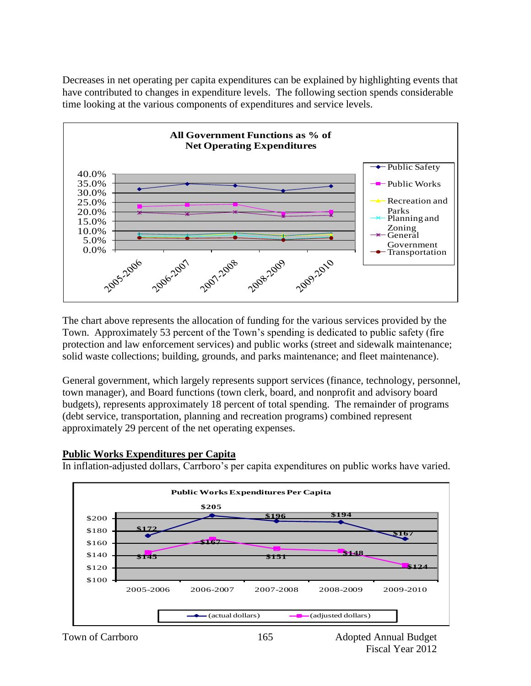Decreases in net operating per capita expenditures can be explained by highlighting events that have contributed to changes in expenditure levels. The following section spends considerable time looking at the various components of expenditures and service levels.



The chart above represents the allocation of funding for the various services provided by the Town. Approximately 53 percent of the Town's spending is dedicated to public safety (fire protection and law enforcement services) and public works (street and sidewalk maintenance; solid waste collections; building, grounds, and parks maintenance; and fleet maintenance).

General government, which largely represents support services (finance, technology, personnel, town manager), and Board functions (town clerk, board, and nonprofit and advisory board budgets), represents approximately 18 percent of total spending. The remainder of programs (debt service, transportation, planning and recreation programs) combined represent approximately 29 percent of the net operating expenses.

#### **Public Works Expenditures per Capita**

In inflation-adjusted dollars, Carrboro's per capita expenditures on public works have varied.

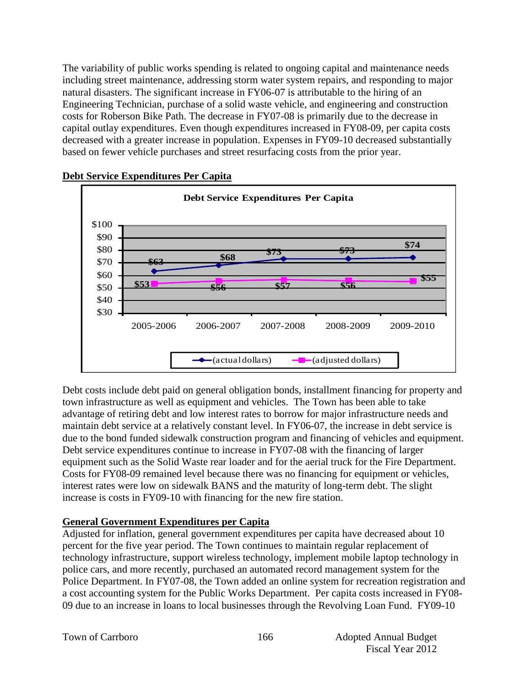The variability of public works spending is related to ongoing capital and maintenance needs including street maintenance, addressing storm water system repairs, and responding to major natural disasters. The significant increase in FY06-07 is attributable to the hiring of an Engineering Technician, purchase of a solid waste vehicle, and engineering and construction costs for Roberson Bike Path. The decrease in FY07-08 is primarily due to the decrease in capital outlay expenditures. Even though expenditures increased in FY08-09, per capita costs decreased with a greater increase in population. Expenses in FY09-10 decreased substantially based on fewer vehicle purchases and street resurfacing costs from the prior year.



#### **Debt Service Expenditures Per Capita**

Debt costs include debt paid on general obligation bonds, installment financing for property and town infrastructure as well as equipment and vehicles. The Town has been able to take advantage of retiring debt and low interest rates to borrow for major infrastructure needs and maintain debt service at a relatively constant level. In FY06-07, the increase in debt service is due to the bond funded sidewalk construction program and financing of vehicles and equipment. Debt service expenditures continue to increase in FY07-08 with the financing of larger equipment such as the Solid Waste rear loader and for the aerial truck for the Fire Department. Costs for FY08-09 remained level because there was no financing for equipment or vehicles, interest rates were low on sidewalk BANS and the maturity of long-term debt. The slight increase is costs in FY09-10 with financing for the new fire station.

#### **General Government Expenditures per Capita**

Adjusted for inflation, general government expenditures per capita have decreased about 10 percent for the five year period. The Town continues to maintain regular replacement of technology infrastructure, support wireless technology, implement mobile laptop technology in police cars, and more recently, purchased an automated record management system for the Police Department. In FY07-08, the Town added an online system for recreation registration and a cost accounting system for the Public Works Department. Per capita costs increased in FY08- 09 due to an increase in loans to local businesses through the Revolving Loan Fund. FY09-10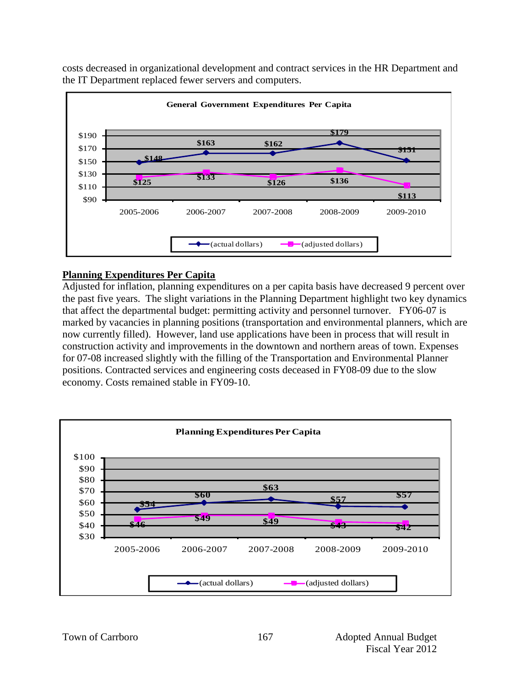

costs decreased in organizational development and contract services in the HR Department and the IT Department replaced fewer servers and computers.

#### **Planning Expenditures Per Capita**

Adjusted for inflation, planning expenditures on a per capita basis have decreased 9 percent over the past five years. The slight variations in the Planning Department highlight two key dynamics that affect the departmental budget: permitting activity and personnel turnover. FY06-07 is marked by vacancies in planning positions (transportation and environmental planners, which are now currently filled). However, land use applications have been in process that will result in construction activity and improvements in the downtown and northern areas of town. Expenses for 07-08 increased slightly with the filling of the Transportation and Environmental Planner positions. Contracted services and engineering costs deceased in FY08-09 due to the slow economy. Costs remained stable in FY09-10.

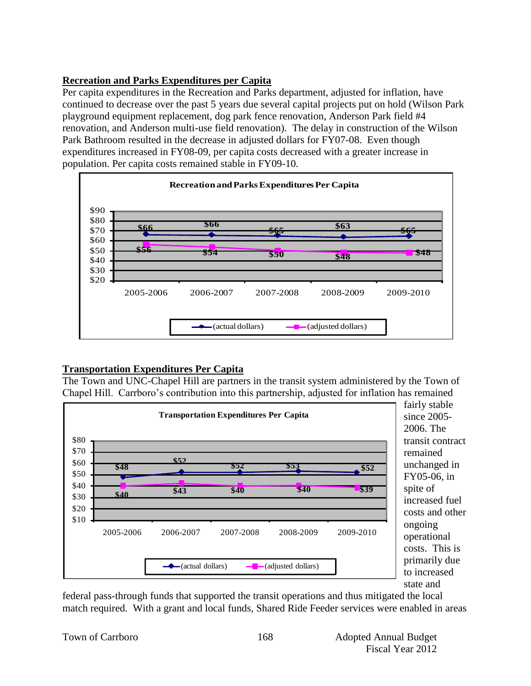## **Recreation and Parks Expenditures per Capita**

Per capita expenditures in the Recreation and Parks department, adjusted for inflation, have continued to decrease over the past 5 years due several capital projects put on hold (Wilson Park playground equipment replacement, dog park fence renovation, Anderson Park field #4 renovation, and Anderson multi-use field renovation). The delay in construction of the Wilson Park Bathroom resulted in the decrease in adjusted dollars for FY07-08. Even though expenditures increased in FY08-09, per capita costs decreased with a greater increase in population. Per capita costs remained stable in FY09-10.



## **Transportation Expenditures Per Capita**

The Town and UNC-Chapel Hill are partners in the transit system administered by the Town of Chapel Hill. Carrboro's contribution into this partnership, adjusted for inflation has remained



federal pass-through funds that supported the transit operations and thus mitigated the local match required. With a grant and local funds, Shared Ride Feeder services were enabled in areas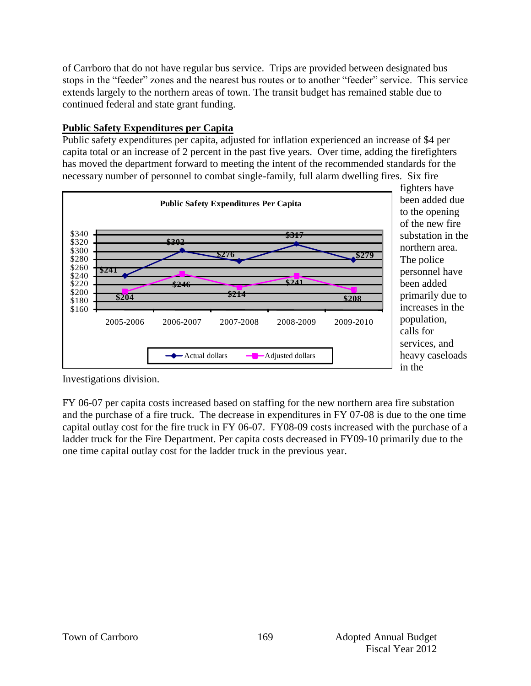of Carrboro that do not have regular bus service. Trips are provided between designated bus stops in the "feeder" zones and the nearest bus routes or to another "feeder" service. This service extends largely to the northern areas of town. The transit budget has remained stable due to continued federal and state grant funding.

#### **Public Safety Expenditures per Capita**

Public safety expenditures per capita, adjusted for inflation experienced an increase of \$4 per capita total or an increase of 2 percent in the past five years. Over time, adding the firefighters has moved the department forward to meeting the intent of the recommended standards for the necessary number of personnel to combat single-family, full alarm dwelling fires. Six fire



Investigations division.

FY 06-07 per capita costs increased based on staffing for the new northern area fire substation and the purchase of a fire truck. The decrease in expenditures in FY 07-08 is due to the one time capital outlay cost for the fire truck in FY 06-07. FY08-09 costs increased with the purchase of a ladder truck for the Fire Department. Per capita costs decreased in FY09-10 primarily due to the one time capital outlay cost for the ladder truck in the previous year.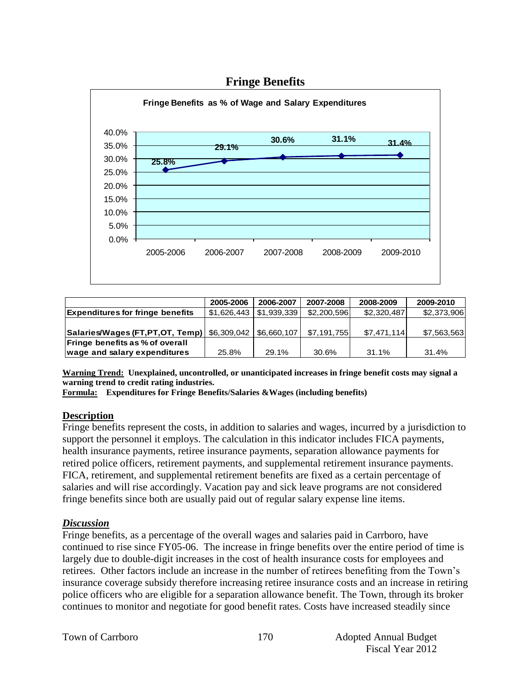

|                                               | 2005-2006   | 2006-2007   | 2007-2008   | 2008-2009   | 2009-2010   |
|-----------------------------------------------|-------------|-------------|-------------|-------------|-------------|
| <b>Expenditures for fringe benefits</b>       | \$1,626,443 | \$1,939,339 | \$2,200,596 | \$2,320,487 | \$2,373,906 |
|                                               |             |             |             |             |             |
| Salaries/Wages (FT, PT, OT, Temp) \$6,309,042 |             | \$6,660,107 | \$7,191,755 | \$7,471,114 | \$7,563,563 |
| <b>Fringe benefits as % of overall</b>        |             |             |             |             |             |
| wage and salary expenditures                  | 25.8%       | 29.1%       | 30.6%       | 31.1%       | 31.4%       |

**Warning Trend: Unexplained, uncontrolled, or unanticipated increases in fringe benefit costs may signal a warning trend to credit rating industries.**

**Formula: Expenditures for Fringe Benefits/Salaries &Wages (including benefits)**

#### **Description**

Fringe benefits represent the costs, in addition to salaries and wages, incurred by a jurisdiction to support the personnel it employs. The calculation in this indicator includes FICA payments, health insurance payments, retiree insurance payments, separation allowance payments for retired police officers, retirement payments, and supplemental retirement insurance payments. FICA, retirement, and supplemental retirement benefits are fixed as a certain percentage of salaries and will rise accordingly. Vacation pay and sick leave programs are not considered fringe benefits since both are usually paid out of regular salary expense line items.

#### *Discussion*

Fringe benefits, as a percentage of the overall wages and salaries paid in Carrboro, have continued to rise since FY05-06. The increase in fringe benefits over the entire period of time is largely due to double-digit increases in the cost of health insurance costs for employees and retirees. Other factors include an increase in the number of retirees benefiting from the Town's insurance coverage subsidy therefore increasing retiree insurance costs and an increase in retiring police officers who are eligible for a separation allowance benefit. The Town, through its broker continues to monitor and negotiate for good benefit rates. Costs have increased steadily since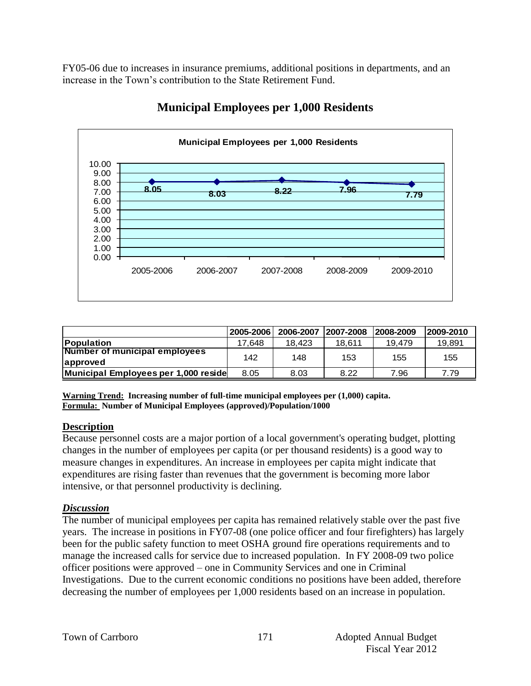FY05-06 due to increases in insurance premiums, additional positions in departments, and an increase in the Town's contribution to the State Retirement Fund.



## **Municipal Employees per 1,000 Residents**

|                                      | 2005-2006 | 2006-2007 | 2007-2008 | 2008-2009 | 2009-2010 |
|--------------------------------------|-----------|-----------|-----------|-----------|-----------|
| <b>Population</b>                    | 17.648    | 18.423    | 18.611    | 19.479    | 19.891    |
| Number of municipal employees        | 142       | 148       | 153       | 155       | 155       |
| approved                             |           |           |           |           |           |
| Municipal Employees per 1,000 reside | 8.05      | 8.03      | 8.22      | 7.96      | 7.79      |

**Warning Trend: Increasing number of full-time municipal employees per (1,000) capita. Formula: Number of Municipal Employees (approved)/Population/1000**

#### **Description**

Because personnel costs are a major portion of a local government's operating budget, plotting changes in the number of employees per capita (or per thousand residents) is a good way to measure changes in expenditures. An increase in employees per capita might indicate that expenditures are rising faster than revenues that the government is becoming more labor intensive, or that personnel productivity is declining.

## *Discussion*

The number of municipal employees per capita has remained relatively stable over the past five years. The increase in positions in FY07-08 (one police officer and four firefighters) has largely been for the public safety function to meet OSHA ground fire operations requirements and to manage the increased calls for service due to increased population. In FY 2008-09 two police officer positions were approved – one in Community Services and one in Criminal Investigations. Due to the current economic conditions no positions have been added, therefore decreasing the number of employees per 1,000 residents based on an increase in population.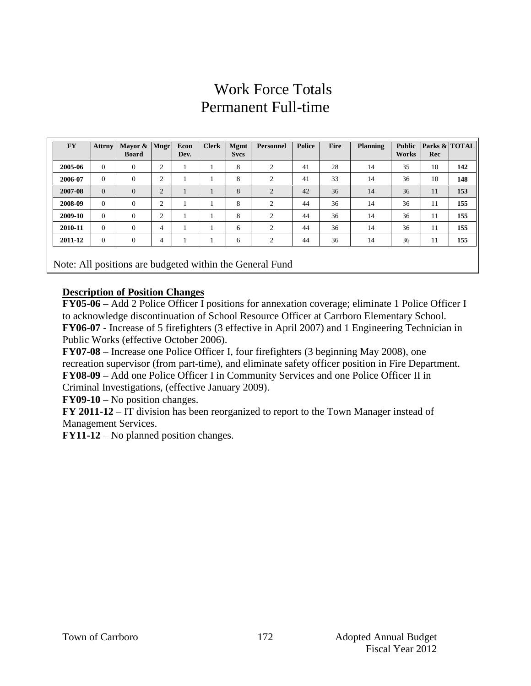## Work Force Totals Permanent Full-time

| <b>FY</b> | <b>Attrny</b>  | Mayor $\&$ Mngr<br><b>Board</b> |                | Econ<br>Dev. | <b>Clerk</b> | <b>Mgmt</b><br><b>Svcs</b> | <b>Personnel</b> | Police | Fire | <b>Planning</b> | <b>Public</b><br><b>Works</b> | Parks $\&$ TOTAL<br>Rec |     |
|-----------|----------------|---------------------------------|----------------|--------------|--------------|----------------------------|------------------|--------|------|-----------------|-------------------------------|-------------------------|-----|
| 2005-06   | $\Omega$       | $\theta$                        | $\overline{2}$ |              |              | 8                          | 2                | 41     | 28   | 14              | 35                            | 10                      | 142 |
| 2006-07   | $\Omega$       | $\theta$                        | $\overline{2}$ |              |              | 8                          | $\overline{2}$   | 41     | 33   | 14              | 36                            | 10                      | 148 |
| 2007-08   | $\Omega$       | $\theta$                        | $\overline{2}$ |              | -            | 8                          | $\overline{2}$   | 42     | 36   | 14              | 36                            | 11                      | 153 |
| 2008-09   | $\Omega$       | $\theta$                        | $\overline{2}$ |              |              | 8                          | $\overline{2}$   | 44     | 36   | 14              | 36                            | 11                      | 155 |
| 2009-10   | $\Omega$       | $\mathbf{0}$                    | 2              |              | -1           | 8                          | 2                | 44     | 36   | 14              | 36                            | 11                      | 155 |
| 2010-11   | $\Omega$       | $\Omega$                        | 4              |              |              | 6                          | 2                | 44     | 36   | 14              | 36                            | 11                      | 155 |
| 2011-12   | $\overline{0}$ | $\theta$                        | 4              |              |              | 6                          | 2                | 44     | 36   | 14              | 36                            | 11                      | 155 |
|           |                |                                 |                |              |              |                            |                  |        |      |                 |                               |                         |     |

Note: All positions are budgeted within the General Fund

#### **Description of Position Changes**

**FY05-06 –** Add 2 Police Officer I positions for annexation coverage; eliminate 1 Police Officer I to acknowledge discontinuation of School Resource Officer at Carrboro Elementary School. **FY06-07 -** Increase of 5 firefighters (3 effective in April 2007) and 1 Engineering Technician in Public Works (effective October 2006).

**FY07-08** – Increase one Police Officer I, four firefighters (3 beginning May 2008), one recreation supervisor (from part-time), and eliminate safety officer position in Fire Department. **FY08-09 –** Add one Police Officer I in Community Services and one Police Officer II in Criminal Investigations, (effective January 2009).

**FY09-10** – No position changes.

**FY 2011-12** – IT division has been reorganized to report to the Town Manager instead of Management Services.

**FY11-12** – No planned position changes.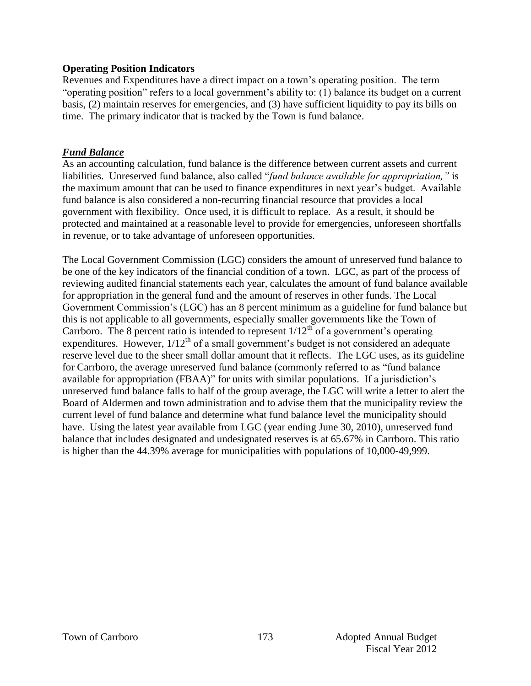#### **Operating Position Indicators**

Revenues and Expenditures have a direct impact on a town's operating position. The term "operating position" refers to a local government's ability to: (1) balance its budget on a current basis, (2) maintain reserves for emergencies, and (3) have sufficient liquidity to pay its bills on time. The primary indicator that is tracked by the Town is fund balance.

#### *Fund Balance*

As an accounting calculation, fund balance is the difference between current assets and current liabilities. Unreserved fund balance, also called "*fund balance available for appropriation,"* is the maximum amount that can be used to finance expenditures in next year's budget. Available fund balance is also considered a non-recurring financial resource that provides a local government with flexibility. Once used, it is difficult to replace. As a result, it should be protected and maintained at a reasonable level to provide for emergencies, unforeseen shortfalls in revenue, or to take advantage of unforeseen opportunities.

The Local Government Commission (LGC) considers the amount of unreserved fund balance to be one of the key indicators of the financial condition of a town. LGC, as part of the process of reviewing audited financial statements each year, calculates the amount of fund balance available for appropriation in the general fund and the amount of reserves in other funds. The Local Government Commission's (LGC) has an 8 percent minimum as a guideline for fund balance but this is not applicable to all governments, especially smaller governments like the Town of Carrboro. The 8 percent ratio is intended to represent  $1/12^{th}$  of a government's operating expenditures. However,  $1/12<sup>th</sup>$  of a small government's budget is not considered an adequate reserve level due to the sheer small dollar amount that it reflects. The LGC uses, as its guideline for Carrboro, the average unreserved fund balance (commonly referred to as "fund balance available for appropriation (FBAA)" for units with similar populations. If a jurisdiction's unreserved fund balance falls to half of the group average, the LGC will write a letter to alert the Board of Aldermen and town administration and to advise them that the municipality review the current level of fund balance and determine what fund balance level the municipality should have. Using the latest year available from LGC (year ending June 30, 2010), unreserved fund balance that includes designated and undesignated reserves is at 65.67% in Carrboro. This ratio is higher than the 44.39% average for municipalities with populations of 10,000-49,999.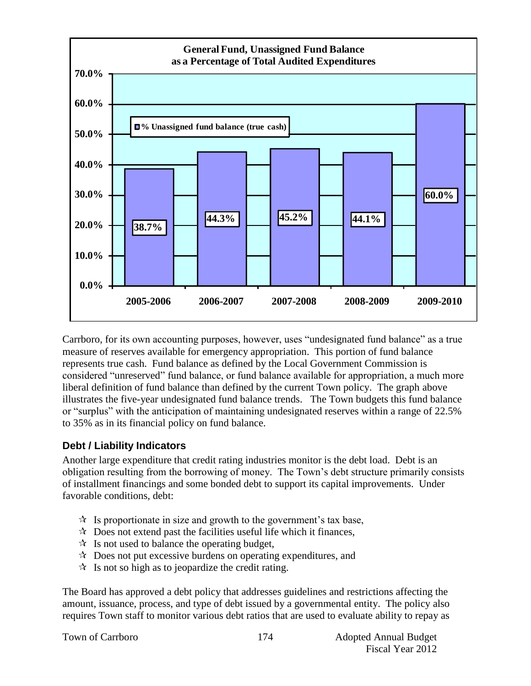

Carrboro, for its own accounting purposes, however, uses "undesignated fund balance" as a true measure of reserves available for emergency appropriation. This portion of fund balance represents true cash. Fund balance as defined by the Local Government Commission is considered "unreserved" fund balance, or fund balance available for appropriation, a much more liberal definition of fund balance than defined by the current Town policy. The graph above illustrates the five-year undesignated fund balance trends. The Town budgets this fund balance or "surplus" with the anticipation of maintaining undesignated reserves within a range of 22.5% to 35% as in its financial policy on fund balance.

## **Debt / Liability Indicators**

Another large expenditure that credit rating industries monitor is the debt load. Debt is an obligation resulting from the borrowing of money. The Town's debt structure primarily consists of installment financings and some bonded debt to support its capital improvements. Under favorable conditions, debt:

- $\mathcal{R}$  Is proportionate in size and growth to the government's tax base,
- $\mathcal{R}$  Does not extend past the facilities useful life which it finances,
- $\mathcal{R}$  Is not used to balance the operating budget,
- $\lambda$  Does not put excessive burdens on operating expenditures, and
- $\mathcal{R}$  Is not so high as to jeopardize the credit rating.

The Board has approved a debt policy that addresses guidelines and restrictions affecting the amount, issuance, process, and type of debt issued by a governmental entity. The policy also requires Town staff to monitor various debt ratios that are used to evaluate ability to repay as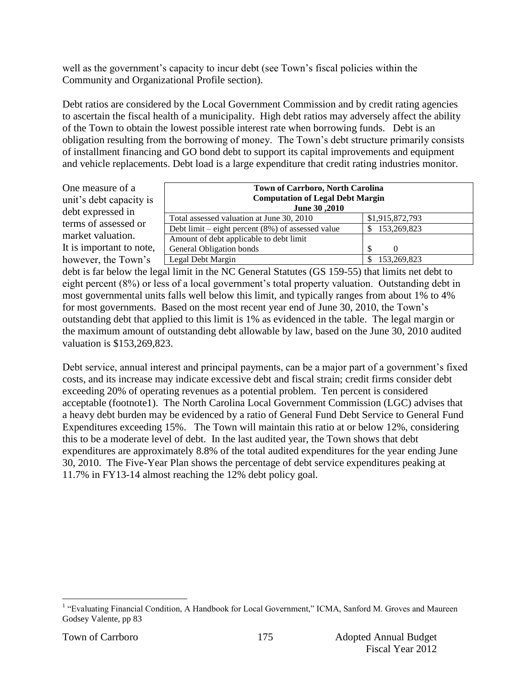well as the government's capacity to incur debt (see Town's fiscal policies within the Community and Organizational Profile section).

Debt ratios are considered by the Local Government Commission and by credit rating agencies to ascertain the fiscal health of a municipality. High debt ratios may adversely affect the ability of the Town to obtain the lowest possible interest rate when borrowing funds. Debt is an obligation resulting from the borrowing of money. The Town's debt structure primarily consists of installment financing and GO bond debt to support its capital improvements and equipment and vehicle replacements. Debt load is a large expenditure that credit rating industries monitor.

One measure of a unit's debt capacity is debt expressed in terms of assessed or market valuation. It is important to note, however, the Town's

| <b>Town of Carrboro, North Carolina</b>              |                 |  |  |  |  |  |  |
|------------------------------------------------------|-----------------|--|--|--|--|--|--|
| <b>Computation of Legal Debt Margin</b>              |                 |  |  |  |  |  |  |
| June 30, 2010                                        |                 |  |  |  |  |  |  |
| Total assessed valuation at June 30, 2010            | \$1,915,872,793 |  |  |  |  |  |  |
| Debt limit – eight percent $(8\%)$ of assessed value | 153,269,823     |  |  |  |  |  |  |
| Amount of debt applicable to debt limit              |                 |  |  |  |  |  |  |
| General Obligation bonds                             | <sup>\$</sup>   |  |  |  |  |  |  |
| Legal Debt Margin                                    | 153,269,823     |  |  |  |  |  |  |

debt is far below the legal limit in the NC General Statutes (GS 159-55) that limits net debt to eight percent (8%) or less of a local government's total property valuation. Outstanding debt in most governmental units falls well below this limit, and typically ranges from about 1% to 4% for most governments. Based on the most recent year end of June 30, 2010, the Town's outstanding debt that applied to this limit is 1% as evidenced in the table. The legal margin or the maximum amount of outstanding debt allowable by law, based on the June 30, 2010 audited valuation is \$153,269,823.

Debt service, annual interest and principal payments, can be a major part of a government's fixed costs, and its increase may indicate excessive debt and fiscal strain; credit firms consider debt exceeding 20% of operating revenues as a potential problem. Ten percent is considered acceptable (footnote1). The North Carolina Local Government Commission (LGC) advises that a heavy debt burden may be evidenced by a ratio of General Fund Debt Service to General Fund Expenditures exceeding 15%. The Town will maintain this ratio at or below 12%, considering this to be a moderate level of debt. In the last audited year, the Town shows that debt expenditures are approximately 8.8% of the total audited expenditures for the year ending June 30, 2010. The Five-Year Plan shows the percentage of debt service expenditures peaking at 11.7% in FY13-14 almost reaching the 12% debt policy goal.

 1 "Evaluating Financial Condition, A Handbook for Local Government," ICMA, Sanford M. Groves and Maureen Godsey Valente, pp 83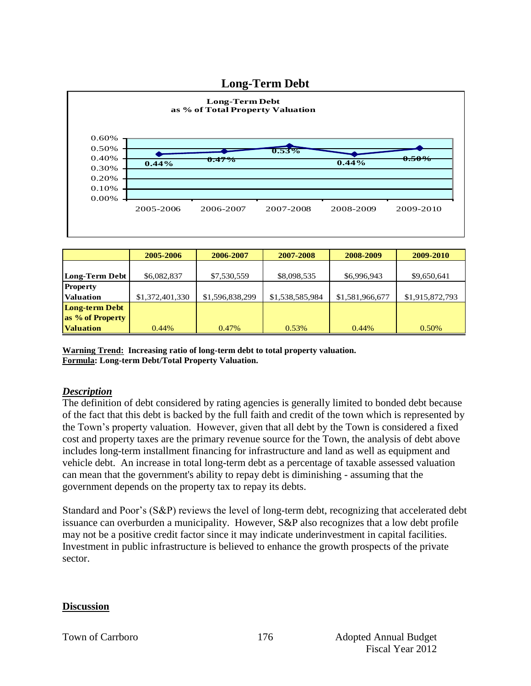#### **Long-Term Debt**



|                       | 2005-2006       | 2006-2007       | 2007-2008       | 2008-2009       | 2009-2010       |
|-----------------------|-----------------|-----------------|-----------------|-----------------|-----------------|
|                       |                 |                 |                 |                 |                 |
| Long-Term Debt        | \$6,082,837     | \$7,530,559     | \$8,098,535     | \$6,996,943     | \$9,650,641     |
| <b>Property</b>       |                 |                 |                 |                 |                 |
| <b>Valuation</b>      | \$1,372,401,330 | \$1,596,838,299 | \$1,538,585,984 | \$1,581,966,677 | \$1,915,872,793 |
| <b>Long-term Debt</b> |                 |                 |                 |                 |                 |
| as % of Property      |                 |                 |                 |                 |                 |
| <b>Valuation</b>      | 0.44%           | $0.47\%$        | 0.53%           | $0.44\%$        | 0.50%           |

**Warning Trend: Increasing ratio of long-term debt to total property valuation. Formula: Long-term Debt/Total Property Valuation.**

#### *Description*

The definition of debt considered by rating agencies is generally limited to bonded debt because of the fact that this debt is backed by the full faith and credit of the town which is represented by the Town's property valuation. However, given that all debt by the Town is considered a fixed cost and property taxes are the primary revenue source for the Town, the analysis of debt above includes long-term installment financing for infrastructure and land as well as equipment and vehicle debt. An increase in total long-term debt as a percentage of taxable assessed valuation can mean that the government's ability to repay debt is diminishing - assuming that the government depends on the property tax to repay its debts.

Standard and Poor's (S&P) reviews the level of long-term debt, recognizing that accelerated debt issuance can overburden a municipality. However, S&P also recognizes that a low debt profile may not be a positive credit factor since it may indicate underinvestment in capital facilities. Investment in public infrastructure is believed to enhance the growth prospects of the private sector.

#### **Discussion**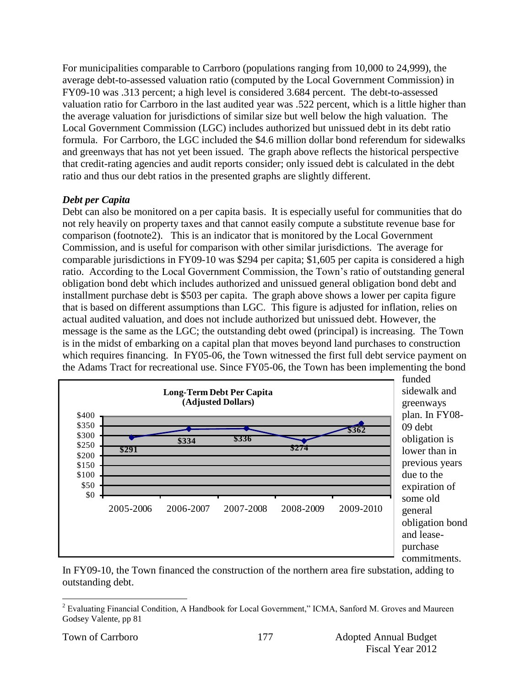For municipalities comparable to Carrboro (populations ranging from 10,000 to 24,999), the average debt-to-assessed valuation ratio (computed by the Local Government Commission) in FY09-10 was .313 percent; a high level is considered 3.684 percent. The debt-to-assessed valuation ratio for Carrboro in the last audited year was .522 percent, which is a little higher than the average valuation for jurisdictions of similar size but well below the high valuation. The Local Government Commission (LGC) includes authorized but unissued debt in its debt ratio formula. For Carrboro, the LGC included the \$4.6 million dollar bond referendum for sidewalks and greenways that has not yet been issued. The graph above reflects the historical perspective that credit-rating agencies and audit reports consider; only issued debt is calculated in the debt ratio and thus our debt ratios in the presented graphs are slightly different.

#### *Debt per Capita*

Debt can also be monitored on a per capita basis. It is especially useful for communities that do not rely heavily on property taxes and that cannot easily compute a substitute revenue base for comparison (footnote2). This is an indicator that is monitored by the Local Government Commission, and is useful for comparison with other similar jurisdictions. The average for comparable jurisdictions in FY09-10 was \$294 per capita; \$1,605 per capita is considered a high ratio. According to the Local Government Commission, the Town's ratio of outstanding general obligation bond debt which includes authorized and unissued general obligation bond debt and installment purchase debt is \$503 per capita. The graph above shows a lower per capita figure that is based on different assumptions than LGC. This figure is adjusted for inflation, relies on actual audited valuation, and does not include authorized but unissued debt. However, the message is the same as the LGC; the outstanding debt owed (principal) is increasing. The Town is in the midst of embarking on a capital plan that moves beyond land purchases to construction which requires financing. In FY05-06, the Town witnessed the first full debt service payment on the Adams Tract for recreational use. Since FY05-06, the Town has been implementing the bond



commitments. In FY09-10, the Town financed the construction of the northern area fire substation, adding to outstanding debt.

 $\overline{a}$ 

<sup>&</sup>lt;sup>2</sup> Evaluating Financial Condition, A Handbook for Local Government," ICMA, Sanford M. Groves and Maureen Godsey Valente, pp 81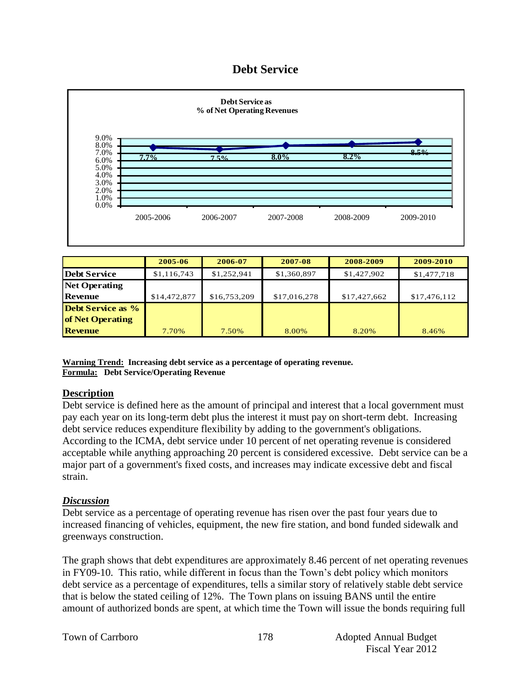## **Debt Service**



|                          | 2005-06      | 2006-07      | 2007-08      | 2008-2009    | 2009-2010    |
|--------------------------|--------------|--------------|--------------|--------------|--------------|
| <b>Debt Service</b>      | \$1,116,743  | \$1,252,941  | \$1,360,897  | \$1,427,902  | \$1,477,718  |
| <b>Net Operating</b>     |              |              |              |              |              |
| <b>Revenue</b>           | \$14,472,877 | \$16,753,209 | \$17,016,278 | \$17,427,662 | \$17,476,112 |
| <b>Debt Service as %</b> |              |              |              |              |              |
| of Net Operating         |              |              |              |              |              |
| <b>Revenue</b>           | 7.70%        | 7.50%        | 8.00%        | 8.20%        | 8.46%        |

**Warning Trend: Increasing debt service as a percentage of operating revenue. Formula: Debt Service/Operating Revenue**

#### **Description**

Debt service is defined here as the amount of principal and interest that a local government must pay each year on its long-term debt plus the interest it must pay on short-term debt. Increasing debt service reduces expenditure flexibility by adding to the government's obligations. According to the ICMA, debt service under 10 percent of net operating revenue is considered acceptable while anything approaching 20 percent is considered excessive. Debt service can be a major part of a government's fixed costs, and increases may indicate excessive debt and fiscal strain.

#### *Discussion*

Debt service as a percentage of operating revenue has risen over the past four years due to increased financing of vehicles, equipment, the new fire station, and bond funded sidewalk and greenways construction.

The graph shows that debt expenditures are approximately 8.46 percent of net operating revenues in FY09-10. This ratio, while different in focus than the Town's debt policy which monitors debt service as a percentage of expenditures, tells a similar story of relatively stable debt service that is below the stated ceiling of 12%. The Town plans on issuing BANS until the entire amount of authorized bonds are spent, at which time the Town will issue the bonds requiring full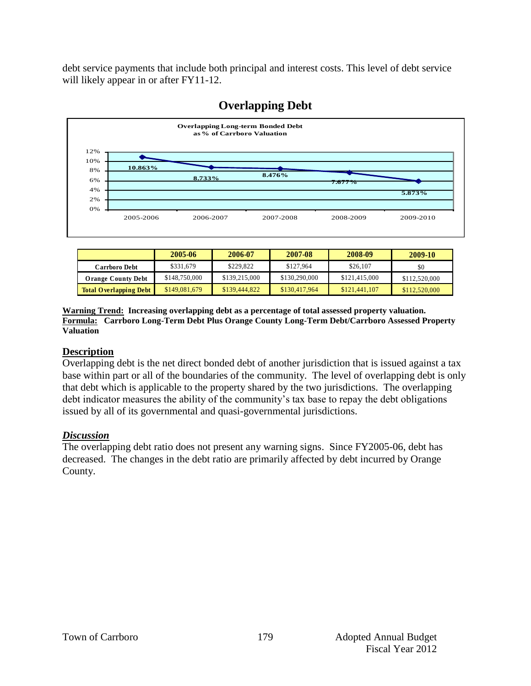debt service payments that include both principal and interest costs. This level of debt service will likely appear in or after FY11-12.



## **Overlapping Debt**

|                               | 2005-06       | 2006-07       | 2007-08       | 2008-09       | 2009-10       |
|-------------------------------|---------------|---------------|---------------|---------------|---------------|
| Carrboro Debt                 | \$331,679     | \$229,822     | \$127,964     | \$26,107      | \$0           |
| <b>Orange County Debt</b>     | \$148,750,000 | \$139,215,000 | \$130,290,000 | \$121,415,000 | \$112,520,000 |
| <b>Total Overlapping Debt</b> | \$149,081,679 | \$139,444,822 | \$130,417,964 | \$121,441,107 | \$112,520,000 |

**Warning Trend: Increasing overlapping debt as a percentage of total assessed property valuation. Formula: Carrboro Long-Term Debt Plus Orange County Long-Term Debt/Carrboro Assessed Property Valuation**

#### **Description**

Overlapping debt is the net direct bonded debt of another jurisdiction that is issued against a tax base within part or all of the boundaries of the community. The level of overlapping debt is only that debt which is applicable to the property shared by the two jurisdictions. The overlapping debt indicator measures the ability of the community's tax base to repay the debt obligations issued by all of its governmental and quasi-governmental jurisdictions.

#### *Discussion*

The overlapping debt ratio does not present any warning signs. Since FY2005-06, debt has decreased. The changes in the debt ratio are primarily affected by debt incurred by Orange County.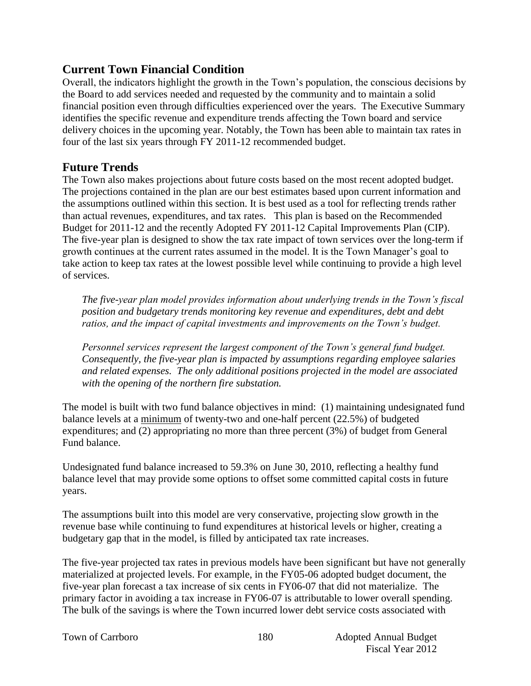## **Current Town Financial Condition**

Overall, the indicators highlight the growth in the Town's population, the conscious decisions by the Board to add services needed and requested by the community and to maintain a solid financial position even through difficulties experienced over the years. The Executive Summary identifies the specific revenue and expenditure trends affecting the Town board and service delivery choices in the upcoming year. Notably, the Town has been able to maintain tax rates in four of the last six years through FY 2011-12 recommended budget.

## **Future Trends**

The Town also makes projections about future costs based on the most recent adopted budget. The projections contained in the plan are our best estimates based upon current information and the assumptions outlined within this section. It is best used as a tool for reflecting trends rather than actual revenues, expenditures, and tax rates. This plan is based on the Recommended Budget for 2011-12 and the recently Adopted FY 2011-12 Capital Improvements Plan (CIP). The five-year plan is designed to show the tax rate impact of town services over the long-term if growth continues at the current rates assumed in the model. It is the Town Manager's goal to take action to keep tax rates at the lowest possible level while continuing to provide a high level of services.

*The five-year plan model provides information about underlying trends in the Town's fiscal position and budgetary trends monitoring key revenue and expenditures, debt and debt ratios, and the impact of capital investments and improvements on the Town's budget.* 

*Personnel services represent the largest component of the Town's general fund budget. Consequently, the five-year plan is impacted by assumptions regarding employee salaries and related expenses. The only additional positions projected in the model are associated with the opening of the northern fire substation.* 

The model is built with two fund balance objectives in mind: (1) maintaining undesignated fund balance levels at a minimum of twenty-two and one-half percent (22.5%) of budgeted expenditures; and (2) appropriating no more than three percent (3%) of budget from General Fund balance.

Undesignated fund balance increased to 59.3% on June 30, 2010, reflecting a healthy fund balance level that may provide some options to offset some committed capital costs in future years.

The assumptions built into this model are very conservative, projecting slow growth in the revenue base while continuing to fund expenditures at historical levels or higher, creating a budgetary gap that in the model, is filled by anticipated tax rate increases.

The five-year projected tax rates in previous models have been significant but have not generally materialized at projected levels. For example, in the FY05-06 adopted budget document, the five-year plan forecast a tax increase of six cents in FY06-07 that did not materialize. The primary factor in avoiding a tax increase in FY06-07 is attributable to lower overall spending. The bulk of the savings is where the Town incurred lower debt service costs associated with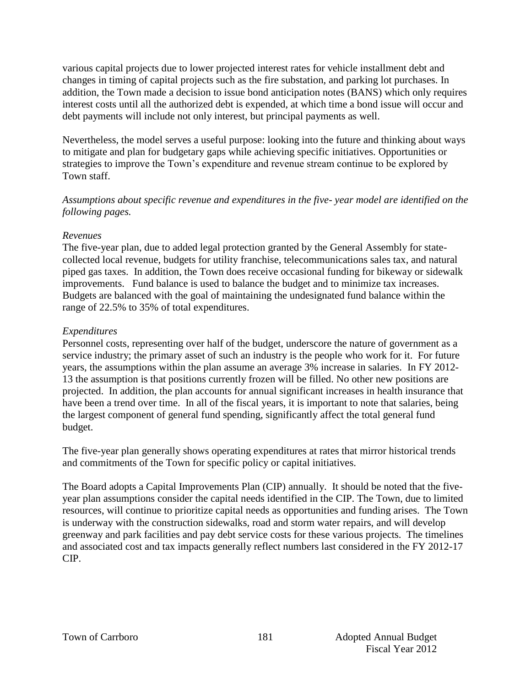various capital projects due to lower projected interest rates for vehicle installment debt and changes in timing of capital projects such as the fire substation, and parking lot purchases. In addition, the Town made a decision to issue bond anticipation notes (BANS) which only requires interest costs until all the authorized debt is expended, at which time a bond issue will occur and debt payments will include not only interest, but principal payments as well.

Nevertheless, the model serves a useful purpose: looking into the future and thinking about ways to mitigate and plan for budgetary gaps while achieving specific initiatives. Opportunities or strategies to improve the Town's expenditure and revenue stream continue to be explored by Town staff.

*Assumptions about specific revenue and expenditures in the five- year model are identified on the following pages.*

#### *Revenues*

The five-year plan, due to added legal protection granted by the General Assembly for statecollected local revenue, budgets for utility franchise, telecommunications sales tax, and natural piped gas taxes. In addition, the Town does receive occasional funding for bikeway or sidewalk improvements. Fund balance is used to balance the budget and to minimize tax increases. Budgets are balanced with the goal of maintaining the undesignated fund balance within the range of 22.5% to 35% of total expenditures.

#### *Expenditures*

Personnel costs, representing over half of the budget, underscore the nature of government as a service industry; the primary asset of such an industry is the people who work for it. For future years, the assumptions within the plan assume an average 3% increase in salaries. In FY 2012- 13 the assumption is that positions currently frozen will be filled. No other new positions are projected. In addition, the plan accounts for annual significant increases in health insurance that have been a trend over time. In all of the fiscal years, it is important to note that salaries, being the largest component of general fund spending, significantly affect the total general fund budget.

The five-year plan generally shows operating expenditures at rates that mirror historical trends and commitments of the Town for specific policy or capital initiatives.

The Board adopts a Capital Improvements Plan (CIP) annually. It should be noted that the fiveyear plan assumptions consider the capital needs identified in the CIP. The Town, due to limited resources, will continue to prioritize capital needs as opportunities and funding arises. The Town is underway with the construction sidewalks, road and storm water repairs, and will develop greenway and park facilities and pay debt service costs for these various projects. The timelines and associated cost and tax impacts generally reflect numbers last considered in the FY 2012-17 CIP.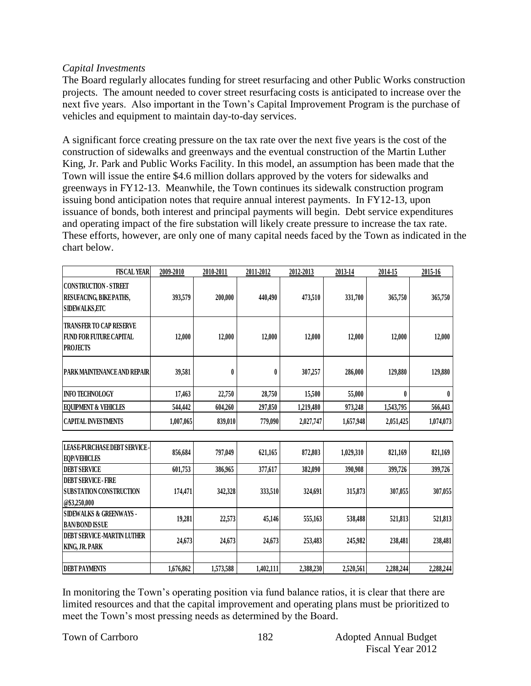#### *Capital Investments*

The Board regularly allocates funding for street resurfacing and other Public Works construction projects. The amount needed to cover street resurfacing costs is anticipated to increase over the next five years. Also important in the Town's Capital Improvement Program is the purchase of vehicles and equipment to maintain day-to-day services.

A significant force creating pressure on the tax rate over the next five years is the cost of the construction of sidewalks and greenways and the eventual construction of the Martin Luther King, Jr. Park and Public Works Facility. In this model, an assumption has been made that the Town will issue the entire \$4.6 million dollars approved by the voters for sidewalks and greenways in FY12-13. Meanwhile, the Town continues its sidewalk construction program issuing bond anticipation notes that require annual interest payments. In FY12-13, upon issuance of bonds, both interest and principal payments will begin. Debt service expenditures and operating impact of the fire substation will likely create pressure to increase the tax rate. These efforts, however, are only one of many capital needs faced by the Town as indicated in the chart below.

| <b>FISCAL YEAR</b>                                                                  | 2009-2010 | 2010-2011 | 2011-2012        | 2012-2013 | 2013-14   | 2014-15   | 2015-16   |
|-------------------------------------------------------------------------------------|-----------|-----------|------------------|-----------|-----------|-----------|-----------|
| <b>CONSTRUCTION - STREET</b><br>RESUFACING, BIKEPATHS,<br><b>SIDEWALKS,ETC</b>      | 393,579   | 200,000   | 440,490          | 473,510   | 331,700   | 365,750   | 365,750   |
| <b>TRANSFER TO CAP RESERVE</b><br><b>FUND FOR FUTURE CAPITAL</b><br><b>PROJECTS</b> | 12,000    | 12,000    | 12,000           | 12,000    | 12,000    | 12,000    | 12,000    |
| PARK MAINTENANCE AND REPAIR                                                         | 39,581    | 0         | $\boldsymbol{0}$ | 307,257   | 286,000   | 129,880   | 129,880   |
| <b>INFO TECHNOLOGY</b>                                                              | 17,463    | 22,750    | 28,750           | 15,500    | 55,000    | $\bf{0}$  | 0         |
| <b>EQUIPMENT &amp; VEHICLES</b>                                                     | 544,442   | 604,260   | 297,850          | 1,219,480 | 973,248   | 1,543,795 | 566,443   |
| <b>CAPITAL INVESTMENTS</b>                                                          | 1,007,065 | 839,010   | 779,090          | 2,027,747 | 1,657,948 | 2,051,425 | 1,074,073 |
| <b>LEASE-PURCHASE DEBT SERVICE-</b><br><b>EQP/VEHICLES</b>                          | 856,684   | 797,049   | 621,165          | 872,803   | 1,029,310 | 821,169   | 821,169   |
| <b>DEBT SERVICE</b>                                                                 | 601,753   | 386,965   | 377,617          | 382,090   | 390,908   | 399,726   | 399,726   |
| <b>DEBT SERVICE - FIRE</b><br><b>SUBSTATION CONSTRUCTION</b><br>@\$3,250,000        | 174,471   | 342,328   | 333,510          | 324,691   | 315,873   | 307,055   | 307,055   |
| <b>SIDEWALKS &amp; GREENWAYS -</b><br><b>BAN/BOND ISSUE</b>                         | 19,281    | 22,573    | 45,146           | 555,163   | 538,488   | 521,813   | 521,813   |
| <b>DEBT SERVICE -MARTIN LUTHER</b><br>KING, JR. PARK                                | 24,673    | 24,673    | 24,673           | 253,483   | 245,982   | 238,481   | 238,481   |
| <b>DEBT PAYMENTS</b>                                                                | 1,676,862 | 1,573,588 | 1,402,111        | 2,388,230 | 2,520,561 | 2,288,244 | 2,288,244 |

In monitoring the Town's operating position via fund balance ratios, it is clear that there are limited resources and that the capital improvement and operating plans must be prioritized to meet the Town's most pressing needs as determined by the Board.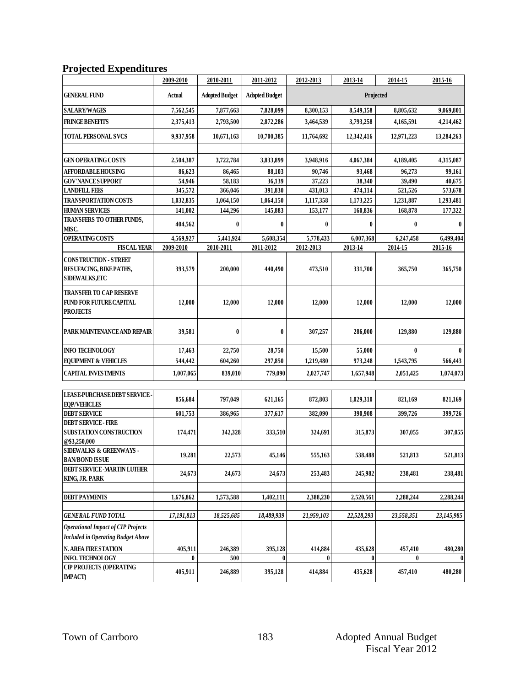## **Projected Expenditures**

|                                                                                     | 2009-2010  | 2010-2011             | 2011-2012             | 2012-2013  | 2013-14    | 2014-15    | 2015-16      |
|-------------------------------------------------------------------------------------|------------|-----------------------|-----------------------|------------|------------|------------|--------------|
| GENERAL FUND                                                                        | Actual     | <b>Adopted Budget</b> | <b>Adopted Budget</b> | Projected  |            |            |              |
| <b>SALARY/WAGES</b>                                                                 | 7,562,545  | 7,877,663             | 7,828,099             | 8,300,153  | 8,549,158  | 8,805,632  | 9,069,801    |
| <b>FRINGE BENEFITS</b>                                                              | 2,375,413  | 2,793,500             | 2,872,286             | 3,464,539  | 3,793,258  | 4,165,591  | 4,214,462    |
| <b>TOTAL PERSONAL SVCS</b>                                                          | 9,937,958  | 10,671,163            | 10,700,385            | 11,764,692 | 12,342,416 | 12,971,223 | 13,284,263   |
|                                                                                     |            |                       |                       |            |            |            |              |
| <b>GEN OPERATING COSTS</b>                                                          | 2,504,387  | 3,722,784             | 3,833,899             | 3,948,916  | 4,067,384  | 4,189,405  | 4,315,087    |
| <b>AFFORDABLE HOUSING</b>                                                           | 86,623     | 86,465                | 88,103                | 90,746     | 93,468     | 96,273     | 99,161       |
| <b>GOV'NANCESUPPORT</b>                                                             | 54,946     | 58,183                | 36,139                | 37,223     | 38,340     | 39,490     | 40,675       |
| <b>LANDFILL FEES</b>                                                                | 345,572    | 366,046               | 391,830               | 431,013    | 474,114    | 521,526    | 573,678      |
| <b>TRANSPORTATION COSTS</b>                                                         | 1,032,835  | 1,064,150             | 1,064,150             | 1,117,358  | 1,173,225  | 1,231,887  | 1,293,481    |
| <b>HUMAN SERVICES</b><br>TRANSFERS TO OTHER FUNDS,                                  | 141,002    | 144,296               | 145,883               | 153,177    | 160,836    | 168,878    | 177,322      |
| MISC.                                                                               | 404,562    | $\bf{0}$              | 0                     | $\bf{0}$   | 0          | 0          | $\mathbf{0}$ |
| OPERATING COSTS                                                                     | 4,569,927  | 5,441,924             | 5,608,354             | 5,778,433  | 6,007,368  | 6,247,458  | 6,499,404    |
| <b>FISCAL YEAR</b>                                                                  | 2009-2010  | 2010-2011             | 2011-2012             | 2012-2013  | 2013-14    | 2014-15    | 2015-16      |
| <b>CONSTRUCTION - STREET</b><br>RESUFACING, BIKE PATHS,<br><b>SIDEWALKS, ETC</b>    | 393,579    | 200,000               | 440,490               | 473,510    | 331,700    | 365,750    | 365,750      |
| <b>TRANSFER TO CAP RESERVE</b><br><b>FUND FOR FUTURE CAPITAL</b><br><b>PROJECTS</b> | 12,000     | 12,000                | 12,000                | 12,000     | 12,000     | 12,000     | 12,000       |
| PARK MAINTENANCE AND REPAIR                                                         | 39,581     | $\boldsymbol{0}$      | 0                     | 307,257    | 286,000    | 129,880    | 129,880      |
| <b>INFO TECHNOLOGY</b>                                                              | 17,463     | 22,750                | 28,750                | 15,500     | 55,000     | 0          |              |
| <b>EQUIPMENT &amp; VEHICLES</b>                                                     | 544,442    | 604,260               | 297,850               | 1,219,480  | 973,248    | 1,543,795  | 566,443      |
| <b>CAPITAL INVESTMENTS</b>                                                          | 1,007,065  | 839,010               | 779,090               | 2,027,747  | 1,657,948  | 2,051,425  | 1,074,073    |
| LEASE-PURCHASE DEBT SERVICE-<br><b>EQP/VEHICLES</b>                                 | 856,684    | 797,049               | 621,165               | 872,803    | 1,029,310  | 821,169    | 821,169      |
| <b>DEBT SERVICE</b>                                                                 | 601,753    | 386,965               | 377,617               | 382,090    | 390,908    | 399,726    | 399,726      |
| <b>DEBT SERVICE - FIRE</b><br>SUBSTATION CONSTRUCTION<br>@\$3,250,000               | 174,471    | 342,328               | 333,510               | 324,691    | 315,873    | 307,055    | 307,055      |
| <b>SIDEWALKS &amp; GREENWAYS -</b><br><b>BAN/BOND ISSUE</b>                         | 19,281     | 22,573                | 45,146                | 555,163    | 538,488    | 521,813    | 521,813      |
| DEBT SERVICE -MARTIN LUTHER<br>KING, JR. PARK                                       | 24,673     | 24,673                | 24,673                | 253,483    | 245,982    | 238,481    | 238,481      |
|                                                                                     |            |                       |                       |            |            |            |              |
| <b>DEBT PAYMENTS</b>                                                                | 1,676,862  | 1,573,588             | 1,402,111             | 2,388,230  | 2,520,561  | 2,288,244  | 2,288,244    |
| <b>GENERAL FUND TOTAL</b>                                                           | 17,191,813 | 18,525,685            | 18,489,939            | 21,959,103 | 22,528,293 | 23,558,351 | 23,145,985   |
| <b>Operational Impact of CIP Projects</b>                                           |            |                       |                       |            |            |            |              |
| <b>Included in Operating Budget Above</b>                                           |            |                       |                       |            |            |            |              |
| N. AREA FIRE STATION                                                                | 405,911    | 246,389               | 395,128               | 414,884    | 435,628    | 457,410    | 480,280      |
| <b>INFO. TECHNOLOGY</b>                                                             | 0          | 500                   | 0                     | 0          | 0          |            | $\pmb{0}$    |
| <b>CIP PROJECTS (OPERATING</b><br><b>IMPACT</b> )                                   | 405,911    | 246,889               | 395,128               | 414,884    | 435,628    | 457,410    | 480,280      |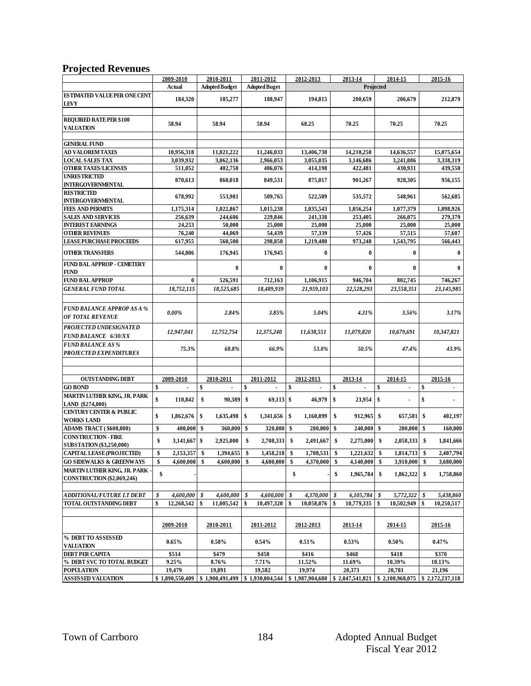#### **Projected Revenues**

| v                                                                   |                                                   |                                             |                      |                                   |                                 |                     |                               |
|---------------------------------------------------------------------|---------------------------------------------------|---------------------------------------------|----------------------|-----------------------------------|---------------------------------|---------------------|-------------------------------|
|                                                                     | 2009-2010                                         | 2010-2011                                   | 2011-2012            | 2012-2013                         | 2013-14                         | 2014-15             | 2015-16                       |
|                                                                     | <b>Actual</b>                                     | <b>Adopted Budget</b>                       | <b>Adopted Buget</b> | Projected                         |                                 |                     |                               |
| <b>ESTIMATED VALUE PER ONE CENT</b><br>LEVY                         | 184,320                                           | 185,277                                     | 188,947              | 194,815                           | 200,659                         | 206,679             | 212,879                       |
| <b>REQUIRED RATE PER \$100</b><br><b>VALUATION</b>                  | 58.94                                             | 58.94                                       | 58.94                | 68.25                             | 70.25                           | 70.25               | 70.25                         |
| <b>GENERAL FUND</b>                                                 |                                                   |                                             |                      |                                   |                                 |                     |                               |
| AD VALOREM TAXES                                                    | 10,956,318                                        | 11,021,222                                  | 11,246,033           | 13,406,730                        | 14,210,250                      | 14,636,557          | 15,075,654                    |
| <b>LOCAL SALES TAX</b>                                              | 3,039,932                                         | 3,062,136                                   | 2,966,053            | 3,055,035                         | 3,146,686                       | 3,241,086           | 3,338,319                     |
| <b>OTHER TAXES/LICENSES</b>                                         | 511,052                                           | 402,750                                     | 406,076              | 414,198                           | 422,481                         | 430,931             | 439,550                       |
| <b>UNRESTRICTED</b>                                                 |                                                   |                                             |                      |                                   |                                 |                     |                               |
| <b>INTERGOVERNMENTAL</b>                                            | 870,613                                           | 860,018                                     | 849,531              | 875,017                           | 901,267                         | 928,305             | 956,155                       |
| <b>RESTRICTED</b>                                                   | 678,992                                           | 553,981                                     | 509,765              | 522,509                           | 535,572                         | 548,961             | 562,685                       |
| <b>INTERGOVERNMENTAL</b>                                            |                                                   |                                             |                      |                                   |                                 |                     |                               |
| <b>FEES AND PERMITS</b>                                             | 1,175,314                                         | 1,022,867                                   | 1,015,238            | 1,035,543                         | 1,056,254                       | 1,077,379           | 1,098,926                     |
| <b>SALES AND SERVICES</b>                                           | 256,639                                           | 244,606                                     | 229,846              | 241,338                           | 253,405                         | 266,075             | 279,379                       |
| <b>INTEREST EARNINGS</b>                                            | 24,253                                            | 50,000                                      | 25,000               | 25,000                            | 25,000                          | 25,000              | 25,000                        |
| <b>OTHER REVENUES</b>                                               | 76,240                                            | 44,069                                      | 54,439               | 57,339                            | 57,426                          | 57,515              | 57,607                        |
| <b>LEASE PURCHASE PROCEEDS</b>                                      | 617,955                                           | 560,500                                     | 298,850              | 1,219,480                         | 973,248                         | 1,543,795           | 566,443                       |
| <b>OTHER TRANSFERS</b>                                              | 544,806                                           | 176,945                                     | 176,945              | $\bf{0}$                          | $\bf{0}$                        | $\bf{0}$            | $\mathbf{0}$                  |
| <b>FUND BAL APPROP - CEMETERY</b><br>FUND                           |                                                   | $\bf{0}$                                    | $\bf{0}$             | $\bf{0}$                          | $\bf{0}$                        | $\bf{0}$            |                               |
| FUND BAL APPROP                                                     | $\bf{0}$                                          | 526,591                                     | 712,163              | 1,106,915                         | 946,704                         | 802,745             | 746,267                       |
| <b>GENERAL FUND TOTAL</b>                                           | 18,752,115                                        | 18,525,685                                  | 18,489,939           | 21,959,103                        | 22,528,293                      | 23,558,351          | 23,145,985                    |
| <b>FUND BALANCE APPROP AS A %</b><br><b>OF TOTAL REVENUE</b>        | $0.00\%$                                          | 2.84%                                       | 3.85%                | 5.04%                             | 4.31%                           | 3.56%               | 3.17%                         |
| PROJECTED UNDESIGNATED<br><b>FUND BALANCE 6/30/XX</b>               | 12,947,041                                        | 12,752,754                                  | 12,375,240           | 11,638,551                        | 11,079,820                      | 10,679,691          | 10,347,821                    |
| <b>FUND BALANCE AS %</b><br><b>PROJECTED EXPENDITURES</b>           | 75.3%                                             | 68.8%                                       | 66.9%                | 53.0%                             | 50.5%                           | 47.4%               | 43.9%                         |
|                                                                     |                                                   |                                             |                      |                                   |                                 |                     |                               |
|                                                                     |                                                   |                                             |                      |                                   |                                 |                     |                               |
| <b>OUTSTANDING DEBT</b><br><b>GO BOND</b>                           | 2009-2010<br>$\mathbf{\hat{s}}$<br>$\overline{a}$ | 2010-2011<br>\$<br>$\overline{\phantom{a}}$ | 2011-2012<br>\$      | 2012-2013<br>\$<br>$\overline{a}$ | 2013-14<br>\$<br>$\overline{a}$ | 2014-15<br>\$<br>ä, | 2015-16<br>\$<br>$\mathbf{r}$ |
| MARTIN LUTHER KING, JR. PARK<br>LAND (\$274,000)                    | \$<br>110,842                                     | 90,389<br>\$                                | \$<br>$69,113$ \$    | 46,979                            | \$<br>23,954                    | \$                  | \$                            |
| <b>CENTURY CENTER &amp; PUBLIC</b><br><b>WORKS LAND</b>             | \$<br>1,862,676                                   | \$<br>1,635,498                             | \$<br>1,341,656      | -\$<br>1,160,899                  | \$<br>912,965                   | \$<br>657,581       | \$<br>402,197                 |
| <b>ADAMS TRACT (\$600,000)</b>                                      | \$<br>400,000                                     | \$<br>360,000                               | \$<br>320,000        | 280,000<br>- S                    | \$<br>240,000                   | 200,000 \$<br>\$    | 160,000                       |
| <b>CONSTRUCTION - FIRE</b>                                          | \$<br>$3,141,667$ \$                              | 2,925,000                                   | \$<br>2,708,333      | 2,491,667<br>\$                   | \$<br>2,275,000                 | \$<br>2,058,333     | \$<br>1,841,666               |
| <b>SUBSTATION (\$3,250,000)</b><br><b>CAPITAL LEASE (PROJECTED)</b> | \$<br>2,153,357                                   | 1,394,655<br>\$                             | 1,458,218 \$<br>\$   | 1,708,531                         | 1,221,632<br>\$                 | 1,814,713<br>\$     | \$<br>2,407,794               |
| <b>GO SIDEWALKS &amp; GREENWAYS</b>                                 | \$<br>$4,600,000$ \$                              | 4,600,000                                   | \$<br>$4,600,000$ \$ | 4,370,000                         | \$<br>4,140,000                 | \$<br>3,910,000     | \$<br>3,680,000               |
| MARTIN LUTHER KING, JR. PARK .                                      |                                                   |                                             |                      |                                   |                                 |                     |                               |
| CONSTRUCTION (\$2,069,246)                                          | \$                                                |                                             |                      | \$                                | \$<br>1,965,784                 | \$<br>1,862,322     | \$<br>1,758,860               |
| ADDITIONAL/FUTURE LT DEBT                                           | \$<br>4,600,000                                   | 4,600,000<br>\$                             | 4,600,000<br>\$      | \$<br>4,370,000                   | \$<br>6,105,784                 | \$<br>5,772,322     | 5,438,860<br>\$               |
| TOTAL OUTSTANDING DEBT                                              | \$<br>12,268,542                                  | \$<br>11,005,542                            | \$<br>10,497,320     | -\$<br>10,058,076                 | \$<br>10,779,335                | \$<br>10,502,949    | \$<br>10,250,517              |
|                                                                     |                                                   |                                             |                      |                                   |                                 |                     |                               |
|                                                                     | 2009-2010                                         | 2010-2011                                   | 2011-2012            | 2012-2013                         | 2013-14                         | 2014-15             | 2015-16                       |
| % DEBT TO ASSESSED<br><b>VALUATION</b>                              | $0.65\%$                                          | 0.58%                                       | 0.54%                | 0.51%                             | 0.53%                           | $0.50\%$            | 0.47%                         |
| <b>DEBT PER CAPITA</b>                                              | \$514                                             | \$479                                       | \$458                | \$416                             | \$468                           | \$418               | \$370                         |
| % DEBT SVC TO TOTAL BUDGET                                          | 9.25%                                             | 8.76%                                       | 7.71%                | 11.52%                            | 11.69%                          | 10.39%              | 10.13%                        |
| <b>POPULATION</b>                                                   | 19.479                                            | 19,891                                      | 19,582               | 19,974                            | 20.373                          | 20,781              | 21,196                        |
| <b>ASSESSED VALUATION</b>                                           | \$1,890,550,409                                   | \$1,900,491,499                             | \$1,930,004,544      | \$1,987,904,680                   | \$2,047,541,821                 | \$2,108,968,075     | \$2,172,237,118               |